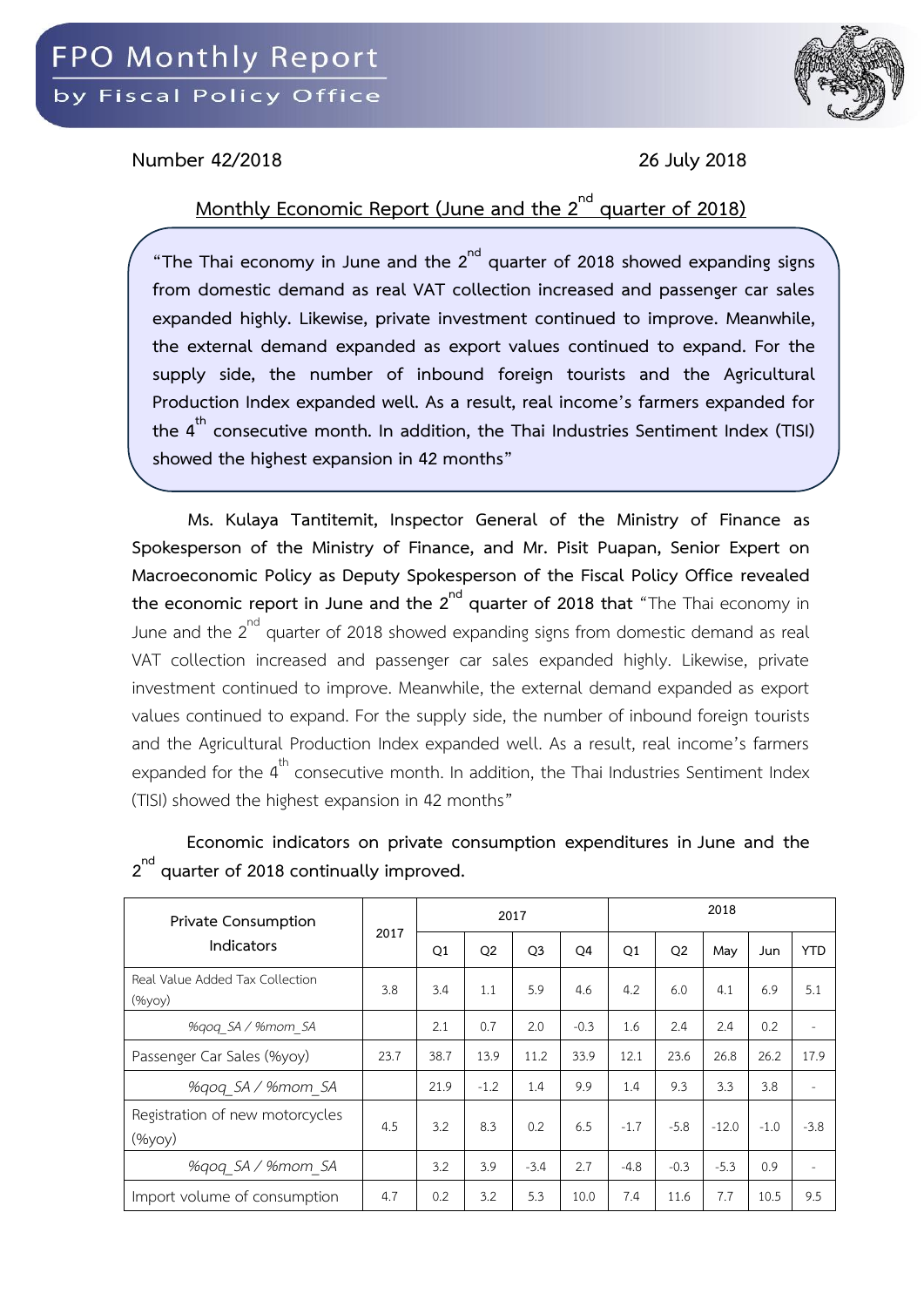

## **Number 42/2018 26 July 2018**

## **Monthly Economic Report (June and the 2nd quarter of 2018)**

**"The Thai economy in June and the 2nd quarter of 2018 showed expanding signs from domestic demand as real VAT collection increased and passenger car sales expanded highly. Likewise, private investment continued to improve. Meanwhile, the external demand expanded as export values continued to expand. For the supply side, the number of inbound foreign tourists and the Agricultural Production Index expanded well. As a result, real income's farmers expanded for the 4th consecutive month. In addition, the Thai Industries Sentiment Index (TISI) showed the highest expansion in 42 months"**

**Ms. Kulaya Tantitemit, Inspector General of the Ministry of Finance as Spokesperson of the Ministry of Finance, and Mr. Pisit Puapan, Senior Expert on Macroeconomic Policy as Deputy Spokesperson of the Fiscal Policy Office revealed the economic report in June and the 2<sup>nd</sup> quarter of 2018 that** "The Thai economy in June and the  $2^{nd}$  quarter of 2018 showed expanding signs from domestic demand as real VAT collection increased and passenger car sales expanded highly. Likewise, private investment continued to improve. Meanwhile, the external demand expanded as export values continued to expand. For the supply side, the number of inbound foreign tourists and the Agricultural Production Index expanded well. As a result, real income's farmers expanded for the  $4<sup>th</sup>$  consecutive month. In addition, the Thai Industries Sentiment Index (TISI) showed the highest expansion in 42 months"

| Private Consumption                       |      |      |                | 2017           |        | 2018   |                |         |        |            |  |  |
|-------------------------------------------|------|------|----------------|----------------|--------|--------|----------------|---------|--------|------------|--|--|
| Indicators                                | 2017 | Q1   | Q <sub>2</sub> | Q <sub>3</sub> | Q4     | Q1     | Q <sub>2</sub> | May     | Jun    | <b>YTD</b> |  |  |
| Real Value Added Tax Collection<br>(%yoy) | 3.8  | 3.4  | 1.1            | 5.9            | 4.6    | 4.2    | 6.0            | 4.1     | 6.9    | 5.1        |  |  |
| %gog SA / %mom SA                         |      | 2.1  | 0.7            | 2.0            | $-0.3$ | 1.6    | 2.4            | 2.4     | 0.2    | ٠          |  |  |
| Passenger Car Sales (%yoy)                | 23.7 | 38.7 | 13.9           | 11.2           | 33.9   | 12.1   | 23.6           | 26.8    | 26.2   | 17.9       |  |  |
| %gog SA / %mom SA                         |      | 21.9 | $-1.2$         | 1.4            | 9.9    | 1.4    | 9.3            | 3.3     | 3.8    |            |  |  |
| Registration of new motorcycles<br>(%yoy) | 4.5  | 3.2  | 8.3            | 0.2            | 6.5    | $-1.7$ | $-5.8$         | $-12.0$ | $-1.0$ | $-3.8$     |  |  |
| %gog SA / %mom SA                         |      | 3.2  | 3.9            | $-3.4$         | 2.7    | $-4.8$ | $-0.3$         | $-5.3$  | 0.9    |            |  |  |
| Import volume of consumption              | 4.7  | 0.2  | 3.2            | 5.3            | 10.0   | 7.4    | 11.6           | 7.7     | 10.5   | 9.5        |  |  |

**Economic indicators on private consumption expenditures in June and the 2 nd quarter of 2018 continually improved.**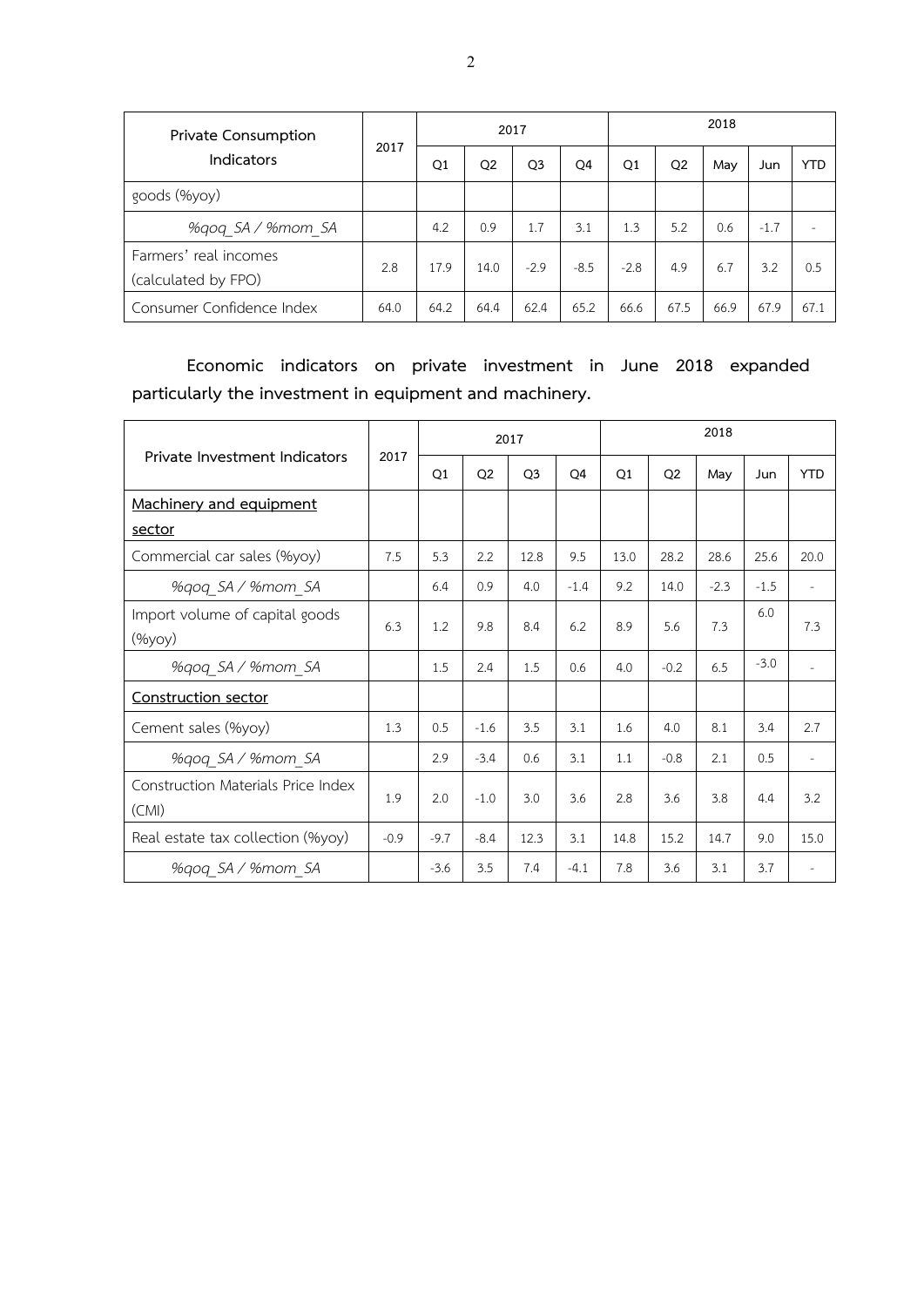| Private Consumption                          |      |      |                | 2017           |        | 2018   |                |      |        |            |  |  |
|----------------------------------------------|------|------|----------------|----------------|--------|--------|----------------|------|--------|------------|--|--|
| <b>Indicators</b>                            | 2017 | Q1   | Q <sub>2</sub> | Q <sub>3</sub> | Q4     | Q1     | Q <sub>2</sub> | May  | Jun    | <b>YTD</b> |  |  |
| goods (%yoy)                                 |      |      |                |                |        |        |                |      |        |            |  |  |
| %gog SA / %mom SA                            |      | 4.2  | 0.9            | 1.7            | 3.1    | 1.3    | 5.2            | 0.6  | $-1.7$ |            |  |  |
| Farmers' real incomes<br>(calculated by FPO) | 2.8  | 17.9 | 14.0           | $-2.9$         | $-8.5$ | $-2.8$ | 4.9            | 6.7  | 3.2    | 0.5        |  |  |
| Consumer Confidence Index                    | 64.0 | 64.2 | 64.4           | 62.4           | 65.2   | 66.6   | 67.5           | 66.9 | 67.9   | 67.1       |  |  |

**Economic indicators on private investment in June 2018 expanded particularly the investment in equipment and machinery.**

|                                                 |        |        |                | 2017           |        | 2018 |                |        |        |            |  |  |
|-------------------------------------------------|--------|--------|----------------|----------------|--------|------|----------------|--------|--------|------------|--|--|
| Private Investment Indicators                   | 2017   | Q1     | Q <sub>2</sub> | Q <sub>3</sub> | Q4     | Q1   | Q <sub>2</sub> | May    | Jun    | <b>YTD</b> |  |  |
| Machinery and equipment                         |        |        |                |                |        |      |                |        |        |            |  |  |
| sector                                          |        |        |                |                |        |      |                |        |        |            |  |  |
| Commercial car sales (%yoy)                     | 7.5    | 5.3    | 2.2            | 12.8           | 9.5    | 13.0 | 28.2           | 28.6   | 25.6   | 20.0       |  |  |
| %gog SA / %mom SA                               |        | 6.4    | 0.9            | 4.0            | $-1.4$ | 9.2  | 14.0           | $-2.3$ | $-1.5$ |            |  |  |
| Import volume of capital goods<br>$(\%$ yoy $)$ | 6.3    | 1.2    | 9.8            | 8.4            | 6.2    | 8.9  | 5.6            | 7.3    | 6.0    | 7.3        |  |  |
| %gog SA / %mom SA                               |        | 1.5    | 2.4            | 1.5            | 0.6    | 4.0  | $-0.2$         | 6.5    | $-3.0$ |            |  |  |
| Construction sector                             |        |        |                |                |        |      |                |        |        |            |  |  |
| Cement sales (%yoy)                             | 1.3    | 0.5    | $-1.6$         | 3.5            | 3.1    | 1.6  | 4.0            | 8.1    | 3.4    | 2.7        |  |  |
| %gog SA / %mom SA                               |        | 2.9    | $-3.4$         | 0.6            | 3.1    | 1.1  | $-0.8$         | 2.1    | 0.5    |            |  |  |
| Construction Materials Price Index<br>(CMI)     | 1.9    | 2.0    | $-1.0$         | 3.0            | 3.6    | 2.8  | 3.6            | 3.8    | 4.4    | 3.2        |  |  |
| Real estate tax collection (%yoy)               | $-0.9$ | $-9.7$ | $-8.4$         | 12.3           | 3.1    | 14.8 | 15.2           | 14.7   | 9.0    | 15.0       |  |  |
| %gog SA / %mom SA                               |        | $-3.6$ | 3.5            | 7.4            | $-4.1$ | 7.8  | 3.6            | 3.1    | 3.7    |            |  |  |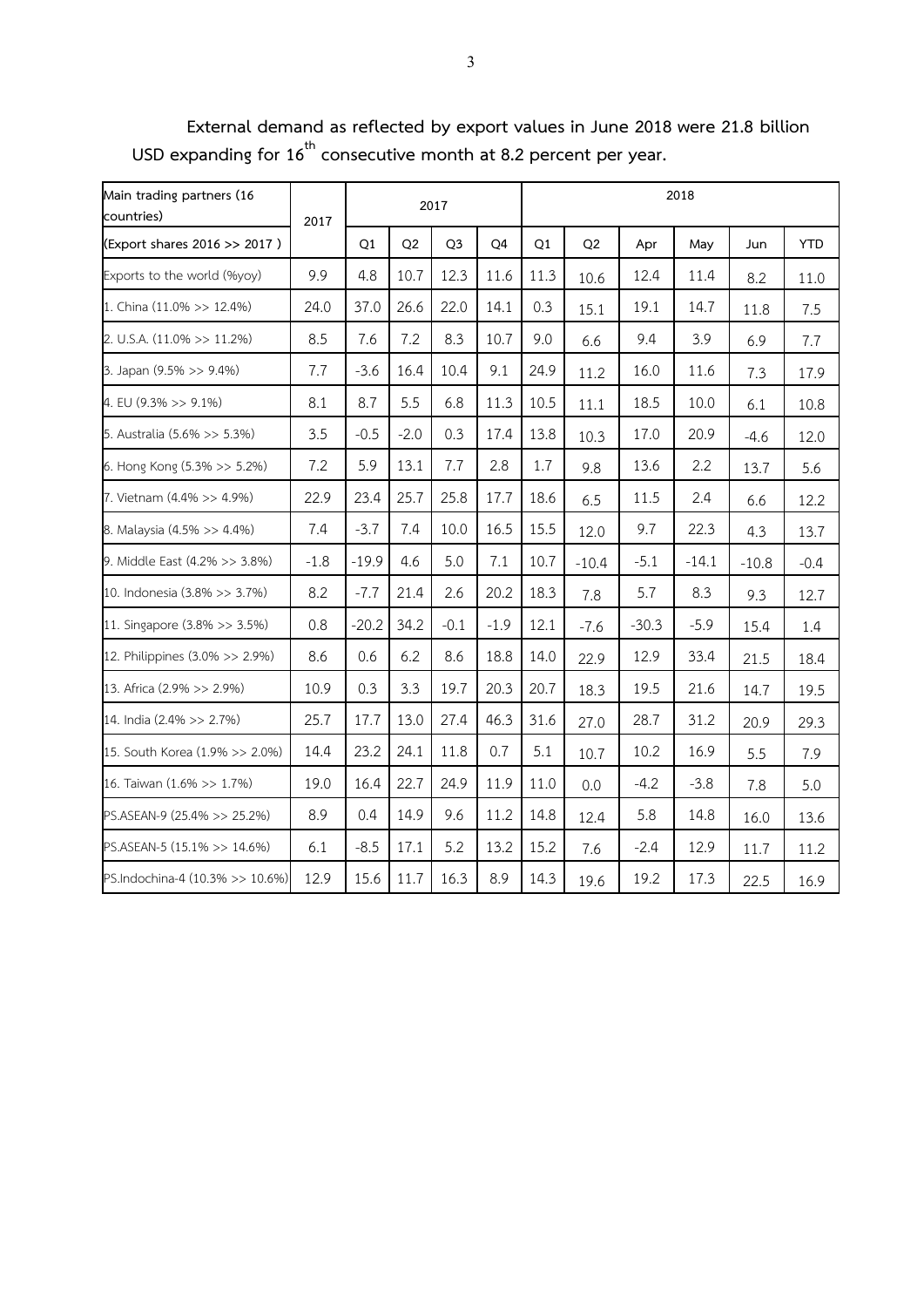**Main trading partners (16 countries) 2017 2017 2018 (Export shares 2016 >> 2017 ) Q1 Q2 Q3 Q4 Q1 Q2 Apr May Jun YTD** Exports to the world (%yoy) 9.9 4.8 10.7 12.3 11.6 11.3 10.6 12.4 11.4 8.2 11.0 1. China (11.0% >> 12.4%) 24.0 37.0 26.6 22.0 14.1 0.3 15.1 19.1 14.7 11.8 7.5 2. U.S.A. (11.0% >> 11.2%) 8.5 7.6 7.2 8.3 10.7 9.0 6.6 9.4 3.9 6.9 7.7 3. Japan (9.5% >> 9.4%) 7.7 -3.6 16.4 10.4 9.1 24.9 11.2 16.0 11.6 7.3 17.9 4. EU (9.3% >> 9.1%) 8.1 8.7 5.5 6.8 11.3 10.5 11.1 18.5 10.0 6.1 10.8 5. Australia (5.6% >> 5.3%) 3.5 -0.5 -2.0 0.3 17.4 13.8 10.3 17.0 20.9 -4.6 12.0 6. Hong Kong (5.3% >> 5.2%) 7.2 5.9 13.1 7.7 2.8 1.7 9.8 13.6 2.2 13.7 5.6 7. Vietnam (4.4% >> 4.9%) 22.9 23.4 25.7 25.8 17.7 18.6 6.5 11.5 2.4 6.6 12.2 8. Malaysia (4.5% >> 4.4%) 7.4 -3.7 7.4 10.0 16.5 15.5 12.0 9.7 22.3 4.3 13.7 9. Middle East (4.2% >> 3.8%)  $\begin{vmatrix} -1.8 \\ -1.9 \end{vmatrix}$  4.6  $\begin{vmatrix} 5.0 \\ 5.0 \\ 7.1 \end{vmatrix}$  10.7  $\begin{vmatrix} -10.4 \\ -10.4 \end{vmatrix}$  -5.1  $\begin{vmatrix} -14.1 \\ -14.1 \end{vmatrix}$  -10.8  $\begin{vmatrix} -0.4 \\ -1.4 \end{vmatrix}$ 10. Indonesia (3.8% >> 3.7%) 8.2 -7.7 21.4 2.6 20.2 18.3 7.8 5.7 8.3 9.3 12.7 11. Singapore (3.8% >> 3.5%) 0.8 -20.2 34.2 -0.1 -1.9 12.1 -7.6 -30.3 -5.9 15.4 1.4 12. Philippines (3.0% >> 2.9%) 8.6 0.6 6.2 8.6 18.8 14.0 22.9 12.9 33.4 21.5 18.4 13. Africa (2.9% >> 2.9%) 10.9 0.3 3.3 19.7 20.3 20.7 18.3 19.5 21.6 14.7 19.5 14. India (2.4% >> 2.7%) 25.7 17.7 13.0 27.4 46.3 31.6 27.0 28.7 31.2 20.9 29.3 15. South Korea (1.9% >> 2.0%) | 14.4 | 23.2 | 24.1 | 11.8 | 0.7 | 5.1 | 10.7 | 10.2 | 16.9 | 5.5 | 7.9 16. Taiwan (1.6% >> 1.7%) | 19.0 | 16.4 | 22.7 | 24.9 | 11.9 | 11.0 | 0.0 | -4.2 | -3.8 | 7.8 | 5.0 PS.ASEAN-9 (25.4% >> 25.2%) 8.9 0.4 14.9 9.6 11.2 14.8 12.4 5.8 14.8 16.0 13.6 PS.ASEAN-5 (15.1% >> 14.6%) 6.1 -8.5 17.1 5.2 13.2 15.2 7.6 -2.4 12.9 11.7 11.2 PS.Indochina-4 (10.3% >> 10.6%) 12.9 15.6 11.7 16.3 8.9 14.3 19.6 19.2 17.3 22.5 16.9

**External demand as reflected by export values in June 2018 were 21.8 billion USD expanding for 16 th consecutive month at 8.2 percent per year.**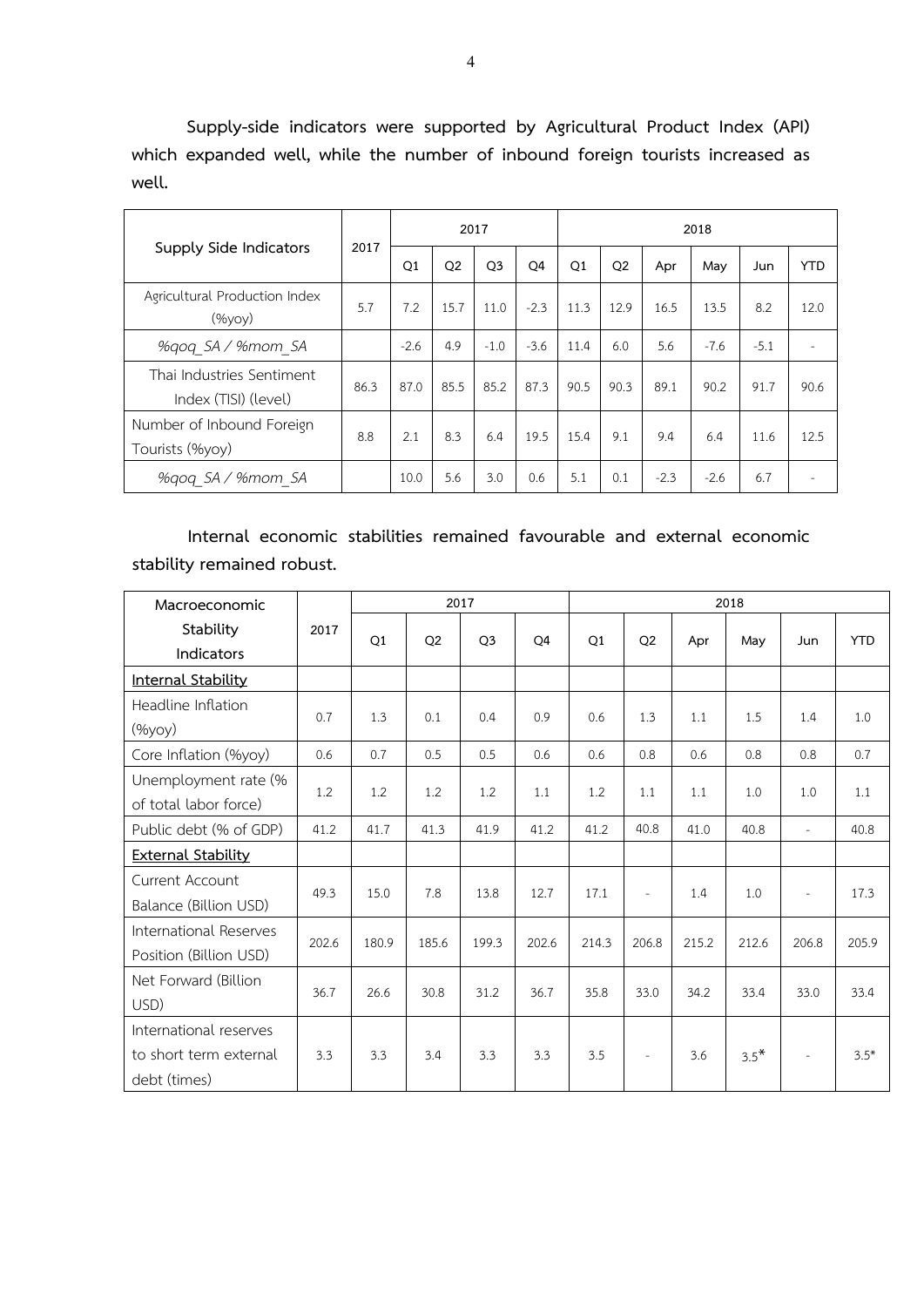**Supply-side indicators were supported by Agricultural Product Index (API) which expanded well, while the number of inbound foreign tourists increased as well.**

| Supply Side Indicators                            |      |        |                | 2017           |                | 2018 |                |        |        |        |            |  |  |
|---------------------------------------------------|------|--------|----------------|----------------|----------------|------|----------------|--------|--------|--------|------------|--|--|
|                                                   | 2017 | Q1     | Q <sub>2</sub> | Q <sub>3</sub> | O <sub>4</sub> | Q1   | Q <sub>2</sub> | Apr    | May    | Jun    | <b>YTD</b> |  |  |
| Agricultural Production Index<br>$(\%$ yoy $)$    | 5.7  | 7.2    | 15.7           | 11.0           | $-2.3$         | 11.3 | 12.9           | 16.5   | 13.5   | 8.2    | 12.0       |  |  |
| %gog SA / %mom SA                                 |      | $-2.6$ | 4.9            | $-1.0$         | $-3.6$         | 11.4 | 6.0            | 5.6    | $-7.6$ | $-5.1$ |            |  |  |
| Thai Industries Sentiment<br>Index (TISI) (level) | 86.3 | 87.0   | 85.5           | 85.2           | 87.3           | 90.5 | 90.3           | 89.1   | 90.2   | 91.7   | 90.6       |  |  |
| Number of Inbound Foreign<br>Tourists (%yoy)      | 8.8  | 2.1    | 8.3            | 6.4            | 19.5           | 15.4 | 9.1            | 9.4    | 6.4    | 11.6   | 12.5       |  |  |
| %gog SA / %mom SA                                 |      | 10.0   | 5.6            | 3.0            | 0.6            | 5.1  | 0.1            | $-2.3$ | $-2.6$ | 6.7    | -          |  |  |

## **Internal economic stabilities remained favourable and external economic stability remained robust.**

| Macroeconomic             |       |       | 2017           |                |                | 2018  |                |       |        |                          |            |  |  |
|---------------------------|-------|-------|----------------|----------------|----------------|-------|----------------|-------|--------|--------------------------|------------|--|--|
| Stability<br>Indicators   | 2017  | Q1    | Q <sub>2</sub> | Q <sub>3</sub> | Q <sub>4</sub> | Q1    | Q <sub>2</sub> | Apr   | May    | Jun                      | <b>YTD</b> |  |  |
| Internal Stability        |       |       |                |                |                |       |                |       |        |                          |            |  |  |
| Headline Inflation        | 0.7   | 1.3   | 0.1            | 0.4            | 0.9            | 0.6   | 1.3            | 1.1   |        | 1.4                      | 1.0        |  |  |
| (%yoy)                    |       |       |                |                |                |       |                |       | 1.5    |                          |            |  |  |
| Core Inflation (%yoy)     | 0.6   | 0.7   | 0.5            | 0.5            | 0.6            | 0.6   | 0.8            | 0.6   | 0.8    | 0.8                      | 0.7        |  |  |
| Unemployment rate (%      | 1.2   | 1.2   |                | 1.2            | 1.1            | 1.2   | 1.1            | 1.1   | 1.0    | 1.0                      | $1.1\,$    |  |  |
| of total labor force)     |       |       | 1.2            |                |                |       |                |       |        |                          |            |  |  |
| Public debt (% of GDP)    | 41.2  | 41.7  | 41.3           | 41.9           | 41.2           | 41.2  | 40.8           | 41.0  | 40.8   | $\bar{ }$                | 40.8       |  |  |
| <b>External Stability</b> |       |       |                |                |                |       |                |       |        |                          |            |  |  |
| Current Account           | 49.3  | 15.0  |                |                | 12.7           |       |                |       | 1.0    |                          | 17.3       |  |  |
| Balance (Billion USD)     |       |       | 7.8            | 13.8           |                | 17.1  | $\sim$         | 1.4   |        | $\overline{\phantom{a}}$ |            |  |  |
| International Reserves    | 202.6 | 180.9 | 185.6          | 199.3          | 202.6          | 214.3 | 206.8          | 215.2 | 212.6  | 206.8                    | 205.9      |  |  |
| Position (Billion USD)    |       |       |                |                |                |       |                |       |        |                          |            |  |  |
| Net Forward (Billion      | 36.7  | 26.6  | 30.8           | 31.2           | 36.7           | 35.8  | 33.0           | 34.2  | 33.4   | 33.0                     | 33.4       |  |  |
| USD)                      |       |       |                |                |                |       |                |       |        |                          |            |  |  |
| International reserves    |       |       |                |                |                |       |                |       |        |                          |            |  |  |
| to short term external    | 3.3   | 3.3   | 3.4            | 3.3            | 3.3            | 3.5   | $\sim$         | 3.6   | $3.5*$ | $\overline{\phantom{a}}$ | $3.5*$     |  |  |
| debt (times)              |       |       |                |                |                |       |                |       |        |                          |            |  |  |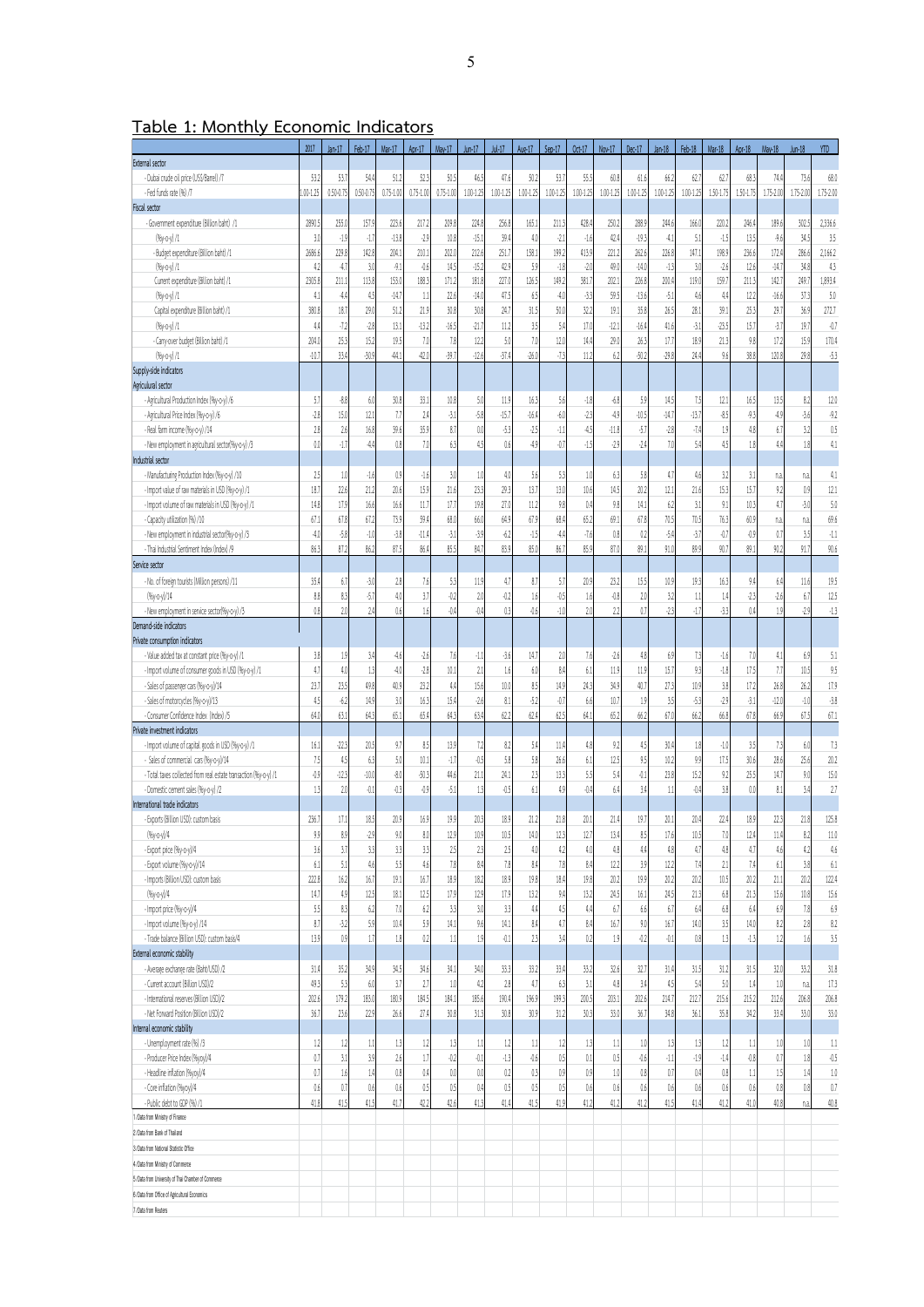**Table 1: Monthly Economic Indicators**

|                                                                                       | 2017           | $Jan-17$        | Feb-17         | Mar-17         | Apr-17          | May 17          | $Jun-17$         | Jul-17                  | Aug-17         | Sep-17          | Oct-17          | Nov-17        | Dec-17           | $Jan-18$       | Feb-18      | Mar-18          | Apr-18        | May-18         | Jun-18        | YTD           |
|---------------------------------------------------------------------------------------|----------------|-----------------|----------------|----------------|-----------------|-----------------|------------------|-------------------------|----------------|-----------------|-----------------|---------------|------------------|----------------|-------------|-----------------|---------------|----------------|---------------|---------------|
| External sector                                                                       |                |                 |                |                |                 |                 |                  |                         |                |                 |                 |               |                  |                |             |                 |               |                |               |               |
| - Dubai crude oil price (US\$/Barrel) /7                                              | 53.2           | 53.7            | 54.4           | 51.2           | 52.3            | 50.             | 46.5             | 47.6                    | 50.2           | 53.             | 55.5            | 60.8          | 61.6             | 66.2           | 62.1        | 62.             | 68.3          | 74.            | 73.6          | 68.0          |
| - Fed funds rate (%) /7                                                               | 00-1.25        | 0.50-0.75       | $0.50 - 0.7$   | $0.75 - 1.00$  | $0.75 - 1.0$    | $0.75 - 1.0$    | 1.00-1.25        | 1.00-1.25               | $1.00 - 1.25$  | $1.00 - 1.25$   | 1.00-1.25       | 1.00-1.25     | $1.00 - 1.25$    | 1.00-1.25      | 1.00-1.25   | $1.50 - 1.75$   | 1.50-1.7      | 1.75-2.0       | $1.75 - 2.00$ | 1.75-2.00     |
| <b>Fiscal sector</b>                                                                  |                |                 |                |                |                 |                 |                  |                         |                |                 |                 |               |                  |                |             |                 |               |                |               |               |
| - Government expenditure (Billion baht) /1                                            | 2890.          | 255.0           | 157.           | 223.6          | 217.2           | 209.            | 224.8            | 256.8                   | 165.           | 211.3           | 428.            | 250.2         | 288.             | 244.6          | 166.0       | 220.            | 246.          | 189.           | 302.          | 2,336.6       |
| $(96y - 0 - y)/1$                                                                     | 3 <sub>1</sub> | $-1.9$<br>229.8 | 41             | $-13.8$        | $-2.9$          | 10 <sub>i</sub> | $-15.1$          | 39.4                    | 41             | $-2$            | $-16$           | 42.4          | $-19.3$          | 41             | 5.          | 43              | 13.5          | $-9.6$         | 34.5          | 3.5           |
| - Budget expenditure (Billion baht) /1<br>$(96v - 0 - v)/1$                           | 2686.6<br>4    | 4.7             | 142.8<br>3.0   | 204.<br>$-9.1$ | 210.1<br>$-0.6$ | 2021<br>14.5    | 212.6<br>$-15.2$ | 251.<br>42.9            | 158.<br>5.5    | 199.2<br>$-1.8$ | 413.5<br>$-2.0$ | 221.2<br>49.0 | 262.6<br>$-14.0$ | 226.8<br>$-13$ | 147.1<br>3( | 198.9<br>$-2.0$ | 236.6<br>12.6 | 172<br>$-14.$  | 286.6<br>34.8 | 2,166.2<br>43 |
| Current expenditure (Billion baht) /1                                                 | 2305.8         | 211.1           | 113.8          | 153.0          | 188.3           | 171.2           | 181.8            | 227.1                   | 126.           | 149.2           | 381.            | 202.1         | 226.8            | 200.4          | 119.0       | 159.            | 211.3         | 142.           | 249.          | 1,893.4       |
| $(96y - 0 - y)/1$                                                                     | 4.1            | 4,4             | 45             | $-14.$         | 11              | 22              | $-14.0$          | 47.5                    | 6.5            | 4.0             | $-33$           | 59.5          | $-13.6$          | $-5.1$         | 4.6         | 4,4             | 12.2          | $-16.$         | 37.3          | 5.0           |
| Capital expenditure (Billion baht) /1                                                 | 380.8          | 18.7            | 29.0           | 51.2           | 21.9            | 30.8            | 30.8             | 24.1                    | 31.5           | 50.0            | 32.2            | 19.1          | 35.8             | 26.5           | 28.1        | 39.             | 25.3          | 29.            | 36.5          | 272.7         |
| $(96y - 0 - y)/1$                                                                     | 4,4            | $-72$           | $-2.8$         | 13.1           | $-13.2$         | $-16.$          | $-21.7$          | 11.2                    | 35             | 5.4             | 17.0            | $-12.1$       | $-16.0$          | 41.6           | $-3.1$      | $-23.5$         | 15.7          | $-3.1$         | 19.           | $-0.7$        |
| - Carry-over budget (Billion baht) /1                                                 | 204            | 25.3            | 15.            | 19.5           | 7.0             | 78              | 12.2             | 50                      | 7(             | 12.0            | 14.0            | 29.0          | 26.3             | 17.            | 18.5        | 21.3            | 9.8           | 17.            | 15.5          | 170.4         |
| $(96y - 0 - y)/1$                                                                     | $-10.7$        | 33.4            | $-30.5$        | 44.            | $-42.0$         | $-39.$          | $-12.6$          | $-37.$                  | $-26.0$        | $-73$           | 11.2            | 6.2           | $-50.1$          | $-29.8$        | 24.4        | 9.6             | 38.8          | 120.1          | 29.8          | $-53$         |
| Supply-side indicators                                                                |                |                 |                |                |                 |                 |                  |                         |                |                 |                 |               |                  |                |             |                 |               |                |               |               |
| Agriculural sector                                                                    |                |                 |                |                |                 |                 |                  |                         |                |                 |                 |               |                  |                |             |                 |               |                |               |               |
| - Agricultural Production Index (%y-o-y) /6                                           | 5.1            | $-8.8$          | 6.0            | 30.8           | 33.1            | 10.8            | 5.0              | 11.9                    | 16.3           | 5.6             | $-1.8$          | $-6.8$        | 5.9              | 14.5           | 7.5         | 12.1            | 16.5          | 13.5           | 82            | 12.0          |
| - Agricultural Price Index (%y-0-y) /6                                                | $-28$          | 15.0            | 12.            | 7.1            | 2.4             | $-3.1$          | $-5.8$           | $-15.1$                 | $-16.$         | $-6.0$          | $-23$           | $-4.9$        | $-10.5$          | $-14.$         | $-13.7$     | $-8.5$          | $-9.3$        | 4.             | $-3.6$        | $-9.2$        |
| - Real farm income (%y-o-y) /14                                                       | 28             | 2.6             | 16.8           | 39.6           | 35.9            | $\delta$ .      | 0.0              | $-5.3$                  | $-2.5$         | $-1.1$          | 45              | $-11.8$       | $-5.7$           | $-2.8$         | $-7.4$      | 1.9             | 4,8           | 6.             | 3.2           | 0.5           |
| - New employment in agricultural sector(%y-o-y) /3                                    | 0.0            | $-1.7$          | 4,0            | 0.8            | 7.0             | 63              | 45               | 0.6                     | 49             | $\overline{0}$  | $-15$           | $-29$         | .74              | 7.0            | 5.4         | 45              | 1.8           | Δ              | 1.8           | 4.1           |
| Industrial sector                                                                     |                |                 |                |                |                 |                 |                  |                         |                |                 |                 |               |                  |                |             |                 |               |                |               |               |
| - Manufacturing Production Index (%y-0-y) /10                                         | 2:             | 1.0             | $-1.6$         | 0.9            | $-1.6$          | 3(              | 1.0              | 4.0                     | 5.6            | 5.3             | 10              | 6.3           | 5.8              | 4.7            | 4.6         | 3.2             | 3.1           | na             | n.a           | 41            |
| - Import value of raw materials in USD (%y-o-y) /1                                    | 18.            | 22.6<br>17.9    | 21.2<br>16.6   | 20.6           | 15.9            | 21<br>17.       | 23.3<br>19.8     | 29.3<br>27.0            | 13.<br>112     | 13.0<br>9.8     | 10.6            | 14.5<br>9.8   | 20.2<br>14.1     | 12.1           | 21.6<br>3.1 | 15.3            | 15.7          | 9.2<br>4.1     | 0.9           | 12.1<br>5.0   |
| - Import volume of raw materials in USD (%y-0-y) /1<br>- Capacity utilization (%) /10 | 14.8<br>67.    | 67.8            | 67.            | 16.6<br>73.9   | 11.7<br>59.4    | 68.             | 66.              | 64.9                    | 67.9           | 68.4            | 0.4<br>65.2     | 69.1          | 67.              | 6.2<br>70.5    | 70.5        | 9.1<br>76.3     | 10.3<br>60.9  |                | $-3($         | 69.6          |
| - New employment in industrial sector(%y-o-y) /3                                      | $-4.0$         | $-5.8$          | $-1.0$         | $-3.8$         | $-11.4$         | $-3$            | $-3.5$           | 62                      | $-1.5$         | 4,4             | $-76$           | 0.8           | 0.2              | $-5/$          | $-3.7$      | $\hat{v}$       | $-0.9$        | na<br>$0.$     | n.a<br>3.5    | $-1.1$        |
| - Thai Industrial Sentiment Index (Index) /9                                          | 86.3           | 87.2            | 86.2           | 87.5           | 86.4            | 85.5            | 84.1             | 83.9                    | 85.0           | 86.7            | 85.5            | 87.0          | 89.              | 91.0           | 89.9        | 90.             | 89.1          | 90.            | 91.7          | 90.6          |
| Service sector                                                                        |                |                 |                |                |                 |                 |                  |                         |                |                 |                 |               |                  |                |             |                 |               |                |               |               |
| - No. of foreign tourists (Million persons) /11                                       | 35.0           | 6.7             | $-3.0$         | 2.8            | 7.6             | 53              | 11.9             | 4.7                     | 8.7            | 5.1             | 20.5            | 23.2          | 15.5             | 10.9           | 19.3        | 16.3            | 9.4           | 6.             | 11.6          | 19.5          |
| $(96y-c-y)/14$                                                                        | 8.8            | 83              | $-5.1$         | 4.0            | 3.7             | $-0.2$          | 20               | 0.2                     | 16             | $-0.5$          | 1.6             | $-0.8$        | 2.0              | 32             | 11          | 1.4             | $-23$         | $-2.6$         | $6.7\,$       | 125           |
| - New employment in service sector(%y-o-y) /3                                         | 0.8            | 20              | 7.4            | 0.6            | 1.6             | $\theta$        | $-0.4$           | 0.3                     | $-0.6$         | $-1.0$          | 20              | 22            | $\theta$         | $-23$          | $-1.7$      | $-3.3$          | 0.4           |                | $-2.5$        | $-13$         |
| Demand-side indicators                                                                |                |                 |                |                |                 |                 |                  |                         |                |                 |                 |               |                  |                |             |                 |               |                |               |               |
| Private consumption indicators                                                        |                |                 |                |                |                 |                 |                  |                         |                |                 |                 |               |                  |                |             |                 |               |                |               |               |
| - Value added tax at constant price (%y-o-y) /1                                       | 3.8            | 1.9             | 3.4            | $-4.6$         | $-2.6$          | 7.6             | $-1.1$           | $-3.6$                  | 14.7           | 2.0             | 7.6             | $-26$         | 4.8              | 6.9            | 73          | 4.6             | 7.0           | $\overline{4}$ | 6.5           | 5.1           |
| - Import volume of consumer goods in USD (%y-o-y) /1                                  | 4.7            | 4.0             | 13             | $-4.0$         | $-2.8$          | 10.             | 21               | 1.6                     | 6.0            | 8.4             | 6.1             | 11.9          | 11.9             | 15.7           | 9.3         | $-1.8$          | 17.5          | 7.1            | $10.5\,$      | 9.5           |
| - Sales of passenger cars (%y-o-y)/14                                                 | 23.7           | 23.5            | 49.8           | 40.9           | 23.2            | 4t              | 15.6             | 10.0                    | 85             | 14.5            | 24.3            | 34.9          | 40.              | 27.3           | 10.9        | 3.8             | 17.2          | 26.8           | 26.2          | 17.9          |
| - Sales of motorcycles (%y-o-y)/13                                                    | 45             | $-6.2$          | 14.            | 3.0            | 16.3            | 15.             | $-2.6$           | 8.1                     | $-52$          | 0.7             | 6.6             | 10.1          | 1.9              | 35             | $-5.3$      | $-29$           | $-3.1$        | $-12$          | $-1.0$        | $-3.8$        |
| - Consumer Confidence Index (Index) /5                                                | 64.            | 63.1            | 64.3           | 65.1           | 65.4            | 64.3            | 63.4             | 62.2                    | 62.0           | 62.5            | 64.1            | 65.2          | 66.2             | 67.            | 66.2        | 66.8            | 67.8          | 66.9           | 67.5          | 67.1          |
| Private investment indicators                                                         |                |                 |                |                |                 |                 |                  |                         |                |                 |                 |               |                  |                |             |                 |               |                |               |               |
| - Import volume of capital coods in USD (%y-o-y) /1                                   | 16.            | $-223$          | 20.5           | 9.7            | 8.5             | 13.             | 72               | 8.2                     | 5.4            | 11.4            | 4,8             | 9.2           | 45               | 30.4           | 1.8         | $-1.0$          | 3.5           | 73             | 6(            | 73            |
| - Sales of commercial cars (%y-o-y)/14                                                | 7.5            | 45              | 63             | 5.0            | 10.1            | $\cdot$         | 0.5              | 5.8                     | 58             | 26.6            | 6.1             | 12.5          | 9.5              | 10.2           | 9.9         | 17.5            | 30.6          | 28.1           | 25.6          | 20.2          |
| - Total taxes collected from real estate transaction (%v-o-y) /1                      | $-0.5$         | $-123$          | $-10.0$        | $-8.0$         | $-50.3$         | 44,6            | 21.1             | 24.1                    | 2 <sup>3</sup> | 13.3            | 55              | 5.4           | 0.1              | 23.8           | 15.2        | 9,2             | 25.5          | 14.            | 9.0           | 15.0          |
| - Domestic cement sales (%y-o-y) /2                                                   | 13             | 20              | 0.1            | $-0.3$         | $-0.9$          | $-5.1$          | 13               | 0.5                     | 6.1            | 4.9             | 0.4             | 6.4           | 3.0              | 11             | $-0.4$      | 3.8             | 0.0           | 8.             | 3.0           | 27            |
| International trade indicators                                                        |                |                 |                |                |                 |                 |                  |                         |                |                 |                 |               |                  |                |             |                 |               |                |               |               |
| - Exports (Billion USD): custom basis                                                 | 236.7          | 17.1            | 18.5<br>.29    | 20.9<br>90     | 16.9            | 19.9            | 20.3             | 18.9<br>10 <sub>5</sub> | 21.2           | 21.8            | 20.1            | 21.4          | 19.              | 20.1           | 20.4        | 22.0            | 18.9          | 22.<br>11      | 21.8          | 125.8         |
| $(96v - 0 - v)/4$<br>- Export price (%y-o-y)/4                                        | 9.9<br>3.6     | 8.9<br>3.7      | 3.3            | 3.3            | 8.0<br>3.3      | 12.9<br>25      | 10.9<br>23       | 2.5                     | 14.0<br>4(     | 12.3<br>4.2     | 12.<br>4.0      | 13.4<br>4.8   | 8.5<br>4,4       | 17.6<br>4.8    | 10.5<br>4.7 | 70<br>4.8       | 12.4<br>4.7   | 4.6            | 82<br>42      | 11.0<br>4.6   |
| - Export volume (%y-o-y)/14                                                           | 6.1            | 5.1             | 4.6            | 5.5            | 4.6             | 7.8             | 8.4              | 7.8                     | 8,4            | 7.8             | 8.4             | 12.2          | 3.9              | 12.2           | 7.4         | 2.1             | 7.4           | 6.1            | 3.8           | 6.1           |
| - Imports (Billion USD): custom basis                                                 | 2228           | 16.2            | 16.1           | 19.1           | 16.7            | 18.5            | 18.2             | 18.9                    | 19.8           | 18.4            | 19.8            | 20.2          | 19.9             | 20.2           | 20.2        | 10.5            | 20.2          | 21.            | 20.2          | 122.4         |
| (%у-о-у)/4                                                                            | 14.            | 4.9             | 12.5           | 18.1           | 12.5            | 17.9            | 12.9             | 17.9                    | 13.2           | 9.4             | 13.2            | 24.5          | 16.1             | 24.5           | 21.3        | 6.8             | 21.3          | 15.6           | 10.8          | 15.6          |
| - Import price (%y-o-y)/4                                                             | 5.5            | 8.3             | 6.2            | 7.0            | 6.2             | 33              | 3.0              | 3.3                     | 4,4            | 4,5             | 4,4             | 6.7           | 6.6              | 6.7            | 6.4         | 6.8             | 6.4           | 6.5            | 7.8           | 6.9           |
| - Import volume (%y-o-y) /14                                                          | 8.7            | $-32$           | 5.9            | 10.4           | 5.9             | 14.             | 9.6              | 14.1                    | 8/             | 4.7             | 8.4             | 16.7          | 9.0              | 16.7           | 14.0        | 3.5             | 14.0          | 8.             | 28            | 8.2           |
| - Trade balance (Billion USD): custom basis/4                                         | 13.5           | 0.9             | $\overline{1}$ | 1.8            | 0.2             | $\overline{1}$  | 1.9              | 0.1                     | 23             | 3.4             | 0.2             | 1.9           | 0.2              | $0.1$          | 0.8         | 13              | $-1.3$        | 12             | 1.6           | 3.5           |
| External economic stability                                                           |                |                 |                |                |                 |                 |                  |                         |                |                 |                 |               |                  |                |             |                 |               |                |               |               |
| - Average exchange rate (Baht/USD) /2                                                 | 31.0           | 35.2            | 34.9           | 34.5           | 34.6            | 34.             | 34.0             | 33.3                    | 33.2           | 33.4            | 33.2            | 32.6          | 32.              | 31.4           | 31.5        | 31.2            | 31.5          | 32.1           | 33.2          | 31.8          |
| - Current account (Billion USD)/2                                                     | 49.            | 5.3             | 6.0            | 3.7            | 2.7             | $\mathbf{1}$    | 42               | 2.8                     | 4,7            | 6.3             | 3.1             | 4.8           | 3.0              | 45             | 5.4         | 5.0             | 1.4           | 11             | n.a.          | 17.3          |
| - International reserves (Billion USD)/2                                              | 202.6          | 179.2           | 183.0          | 180.9          | 184.5           | 184.            | 185.6            | 190.4                   | 196.9          | 199.3           | 200.5           | 203.1         | 202.6            | 214.7          | 212.7       | 215.6           | 215.2         | 212.6          | 206.8         | 206.8         |
| - Net Forward Position (Billion USD)/2                                                | 36.            | 23.6            | 22.9           | 26.6           | 27.4            | 30.8            | 31.3             | 30.8                    | 30.9           | 31.2            | 30.3            | 33.0          | 36.1             | 34.8           | 36.1        | 35.8            | 34.2          | 33.0           | 33(           | 33.0          |
| Internal economic stability                                                           |                |                 |                |                |                 |                 |                  |                         |                |                 |                 |               |                  |                |             |                 |               |                |               |               |
| - Unemployment rate (%) /3                                                            | 12             | 12              | 1.1            | 13             | 12              | 13              | 1.1              | 12                      | -1.1           | 12              | 13              | 1.1           | 1.0              | 13             | 13          | $12$            | 1.1           | 11             | 1.0           | 11            |
| - Producer Price Index (%yoy)/4                                                       | 0.7            | 3.1             | 3.9            | 2.6            | 1.7             | $-0.2$          | $0.1$            | $-1.3$                  | $-0.6$         | 0.5             | 0.1             | 0.5           | $-0.6$           | $4.1\,$        | $-1.9$      | $-1.4$          | $-0.8$        | 0.1            | 18            | $-0.5$        |
| - Headline inflation (%yoy)/4                                                         | 0.1            | 1.6             | 14             | 0.8            | 0.4             | 0.0             | 0.0              | 0.2                     | 0.3            | 0.9             | 0.9             | 1.0           | 0.8              | 0.7            | 0.4         | 0.8             | 1.1           | 15             | 1.4           | 1.0           |
| - Core inflation (%yoy)/4                                                             | 0.6            | 0.7             | 0.6            | 0.6            | 0.5             | 05              | 0.4              | 0.5                     | 0.5            | 0.5             | 0.6             | 0.6           | 0.6              | 0.6            | 0.6         | 0.6             | 0.6           | 0.8            | 0.8           | 0.7           |
| - Public debt to GDP (%) /1                                                           | 41.8           | 41.5            | 41.5           | 41.7           | 42.2            | 426             | 41.3             | 41.4                    | 41.5           | 41.9            | 412             | 41.2          | 41.2             | 41.5           | 41.4        | 41.2            | 41.0          | 40.8           | n.a           | 40.8          |
| 1 /Data from Ministry of Finance                                                      |                |                 |                |                |                 |                 |                  |                         |                |                 |                 |               |                  |                |             |                 |               |                |               |               |
| 2/Data from Bank of Thailand                                                          |                |                 |                |                |                 |                 |                  |                         |                |                 |                 |               |                  |                |             |                 |               |                |               |               |
| 3/Data from National Statistic Office                                                 |                |                 |                |                |                 |                 |                  |                         |                |                 |                 |               |                  |                |             |                 |               |                |               |               |
| 4/Data from Ministry of Commerce                                                      |                |                 |                |                |                 |                 |                  |                         |                |                 |                 |               |                  |                |             |                 |               |                |               |               |
| 5/Data from University of Thai Chamber of Commerce                                    |                |                 |                |                |                 |                 |                  |                         |                |                 |                 |               |                  |                |             |                 |               |                |               |               |
| 6/Data from Office of Agricultural Economics                                          |                |                 |                |                |                 |                 |                  |                         |                |                 |                 |               |                  |                |             |                 |               |                |               |               |
| 7 /Data from Reuters                                                                  |                |                 |                |                |                 |                 |                  |                         |                |                 |                 |               |                  |                |             |                 |               |                |               |               |